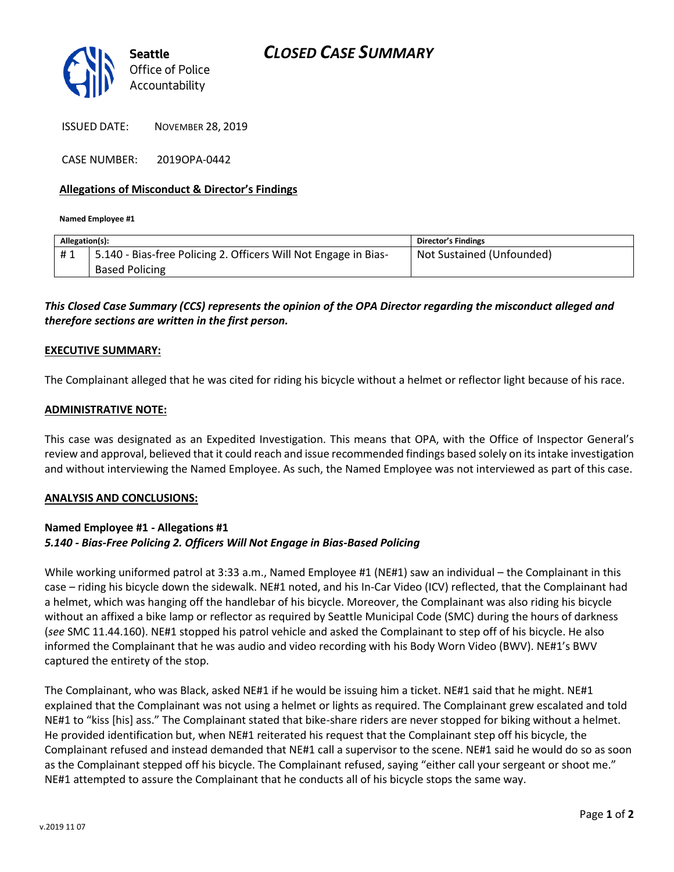

ISSUED DATE: NOVEMBER 28, 2019

CASE NUMBER: 2019OPA-0442

#### **Allegations of Misconduct & Director's Findings**

**Named Employee #1**

| Allegation(s): |                                                                                          | Director's Findings       |
|----------------|------------------------------------------------------------------------------------------|---------------------------|
| #1             | 5.140 - Bias-free Policing 2. Officers Will Not Engage in Bias-<br><b>Based Policing</b> | Not Sustained (Unfounded) |
|                |                                                                                          |                           |

## *This Closed Case Summary (CCS) represents the opinion of the OPA Director regarding the misconduct alleged and therefore sections are written in the first person.*

#### **EXECUTIVE SUMMARY:**

The Complainant alleged that he was cited for riding his bicycle without a helmet or reflector light because of his race.

#### **ADMINISTRATIVE NOTE:**

This case was designated as an Expedited Investigation. This means that OPA, with the Office of Inspector General's review and approval, believed that it could reach and issue recommended findings based solely on its intake investigation and without interviewing the Named Employee. As such, the Named Employee was not interviewed as part of this case.

#### **ANALYSIS AND CONCLUSIONS:**

### **Named Employee #1 - Allegations #1** *5.140 - Bias-Free Policing 2. Officers Will Not Engage in Bias-Based Policing*

While working uniformed patrol at 3:33 a.m., Named Employee #1 (NE#1) saw an individual – the Complainant in this case – riding his bicycle down the sidewalk. NE#1 noted, and his In-Car Video (ICV) reflected, that the Complainant had a helmet, which was hanging off the handlebar of his bicycle. Moreover, the Complainant was also riding his bicycle without an affixed a bike lamp or reflector as required by Seattle Municipal Code (SMC) during the hours of darkness (*see* SMC 11.44.160). NE#1 stopped his patrol vehicle and asked the Complainant to step off of his bicycle. He also informed the Complainant that he was audio and video recording with his Body Worn Video (BWV). NE#1's BWV captured the entirety of the stop.

The Complainant, who was Black, asked NE#1 if he would be issuing him a ticket. NE#1 said that he might. NE#1 explained that the Complainant was not using a helmet or lights as required. The Complainant grew escalated and told NE#1 to "kiss [his] ass." The Complainant stated that bike-share riders are never stopped for biking without a helmet. He provided identification but, when NE#1 reiterated his request that the Complainant step off his bicycle, the Complainant refused and instead demanded that NE#1 call a supervisor to the scene. NE#1 said he would do so as soon as the Complainant stepped off his bicycle. The Complainant refused, saying "either call your sergeant or shoot me." NE#1 attempted to assure the Complainant that he conducts all of his bicycle stops the same way.